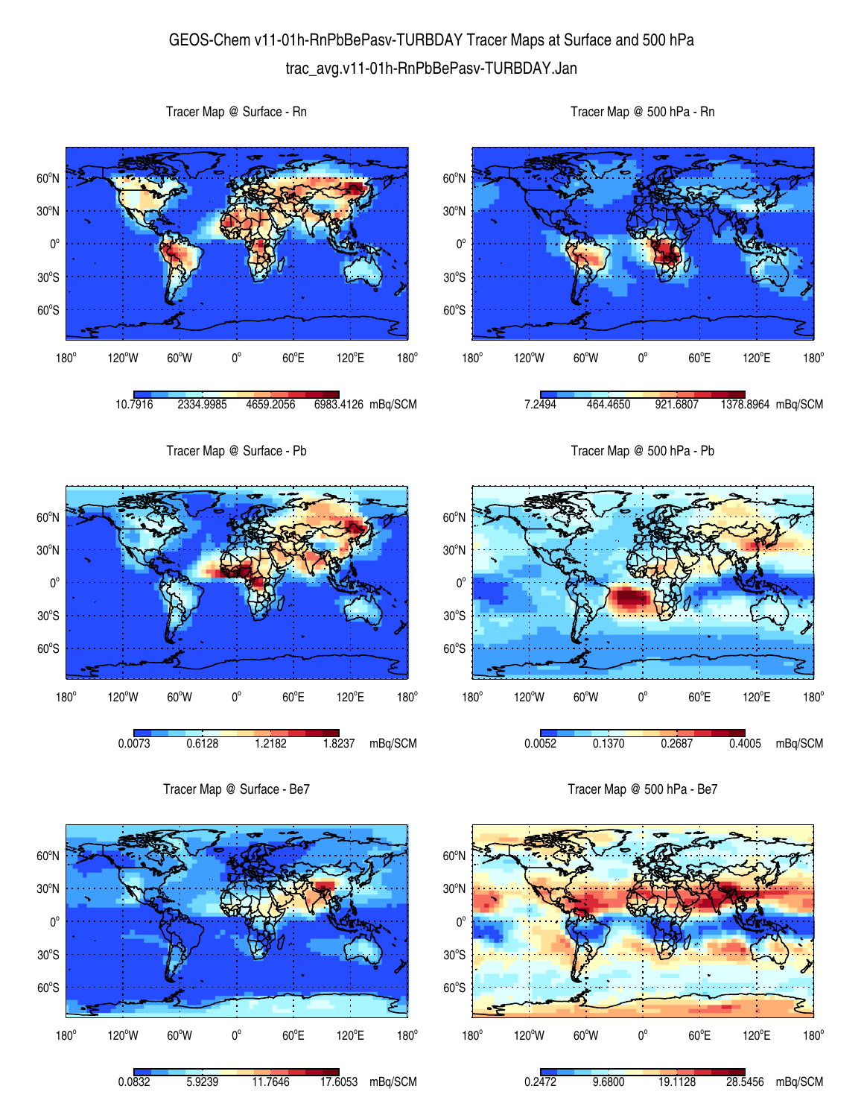## GEOS-Chem v11-01h-RnPbBePasv-TURBDAY Tracer Maps at Surface and 500 hPa trac\_avg.v11-01h-RnPbBePasv-TURBDAY.Jan

 $60^{\circ}$ S  $30^{\circ}$ S  $0^{\circ}$ 30<sup>°</sup>N 60<sup>°</sup>N 180°  $120^{\circ}$ W 60 $^{\circ}$ W 0 $^{\circ}$  $60^{\circ}$ E 120°E  $180^\circ$ 10.7916 2334.9985 4659.2056 6983.4126 mBq/SCM  $60^{\circ}$ S  $30^{\circ}$ S  $0^{\circ}$ 30<sup>°</sup>N 60<sup>°</sup>N  $180^\circ$ 120°W 60°W 0°  $60^{\circ}$ E 120°E 7.2494 464.4650 921.6807 1378.8964 mBq/SCM Tracer Map @ Surface - Pb 60°S  $30^{\circ}$ S  $0^{\circ}$ 30<sup>°</sup>N 60<sup>°</sup>N Tracer Map @ 500 hPa - Pb 60°S  $30^{\circ}$ S  $0^{\circ}$ 30<sup>°</sup>N 60<sup>°</sup>N

0.0073 0.6128 1.2182 1.8237 mBq/SCM

 $60^{\circ}$ E

120°E

 $180^\circ$ 

180°

Tracer Map @ Surface - Be7

 $120^{\circ}$ W 60 $^{\circ}$ W 0 $^{\circ}$ 

180°

Tracer Map @ Surface - Rn



Tracer Map @ 500 hPa - Be7

 $60^{\circ}$ E

0.0052 0.1370 0.2687 0.4005 mBq/SCM

120°E

 $180^\circ$ 

 $120^{\circ}$ W 60 $^{\circ}$ W 0 $^{\circ}$ 

Tracer Map @ 500 hPa - Rn

 $180^\circ$